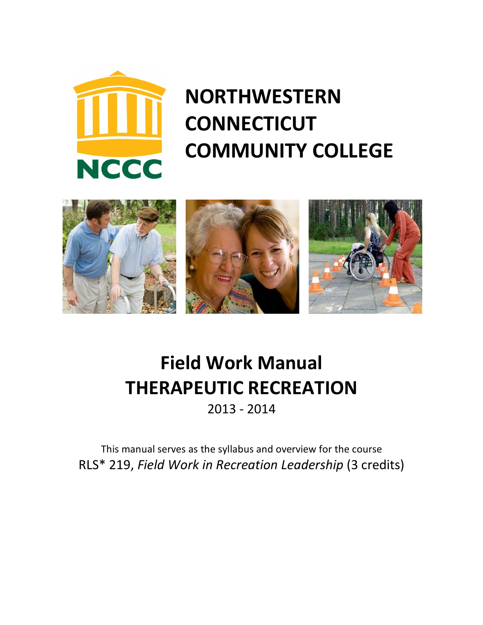

# **NORTHWESTERN CONNECTICUT COMMUNITY COLLEGE**



## **Field Work Manual THERAPEUTIC RECREATION**

2013 - 2014

This manual serves as the syllabus and overview for the course RLS\* 219, *Field Work in Recreation Leadership* (3 credits)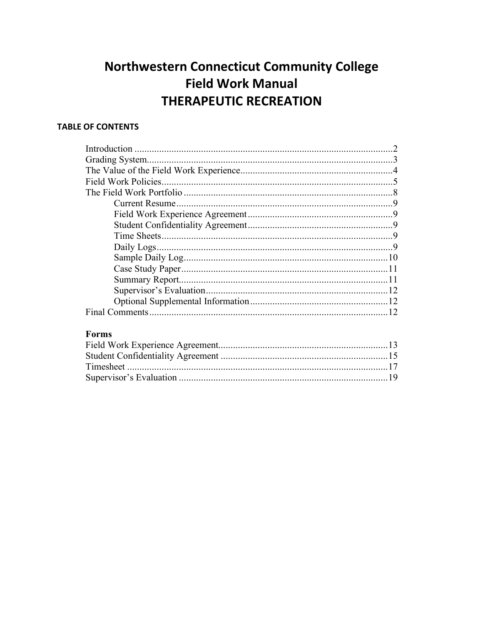## **Northwestern Connecticut Community College Field Work Manual THERAPEUTIC RECREATION**

#### **TABLE OF CONTENTS**

#### Forms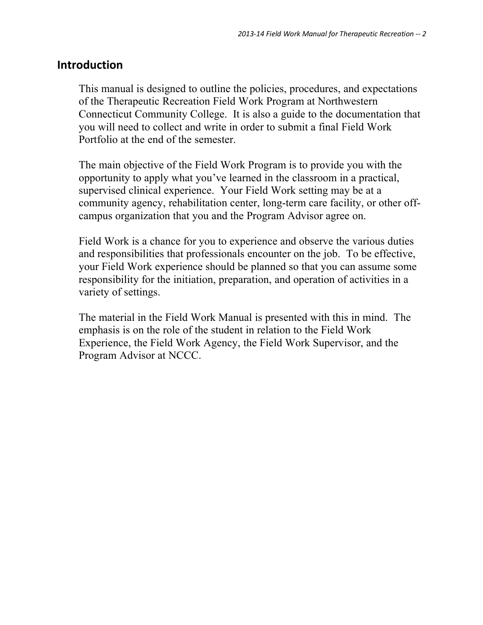## **Introduction**

This manual is designed to outline the policies, procedures, and expectations of the Therapeutic Recreation Field Work Program at Northwestern Connecticut Community College. It is also a guide to the documentation that you will need to collect and write in order to submit a final Field Work Portfolio at the end of the semester.

The main objective of the Field Work Program is to provide you with the opportunity to apply what you've learned in the classroom in a practical, supervised clinical experience. Your Field Work setting may be at a community agency, rehabilitation center, long-term care facility, or other offcampus organization that you and the Program Advisor agree on.

Field Work is a chance for you to experience and observe the various duties and responsibilities that professionals encounter on the job. To be effective, your Field Work experience should be planned so that you can assume some responsibility for the initiation, preparation, and operation of activities in a variety of settings.

The material in the Field Work Manual is presented with this in mind. The emphasis is on the role of the student in relation to the Field Work Experience, the Field Work Agency, the Field Work Supervisor, and the Program Advisor at NCCC.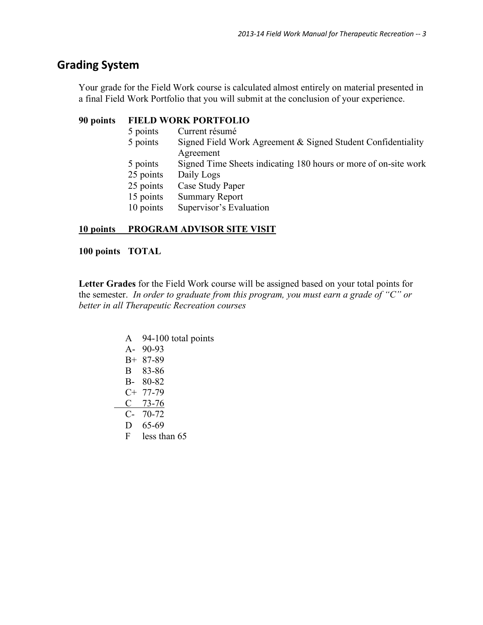### **Grading System**

Your grade for the Field Work course is calculated almost entirely on material presented in a final Field Work Portfolio that you will submit at the conclusion of your experience.

#### **90 points FIELD WORK PORTFOLIO**

- 5 points Current résumé
- 5 points Signed Field Work Agreement & Signed Student Confidentiality Agreement
- 5 points Signed Time Sheets indicating 180 hours or more of on-site work
- 25 points Daily Logs
- 25 points Case Study Paper
- 15 points Summary Report
- 10 points Supervisor's Evaluation

#### **10 points PROGRAM ADVISOR SITE VISIT**

**100 points TOTAL**

**Letter Grades** for the Field Work course will be assigned based on your total points for the semester. *In order to graduate from this program, you must earn a grade of "C" or better in all Therapeutic Recreation courses*

- A 94-100 total points
- A- 90-93
- B+ 87-89
- B 83-86
- B- 80-82
- C+ 77-79
- C 73-76
- C- 70-72
- D 65-69
- F less than 65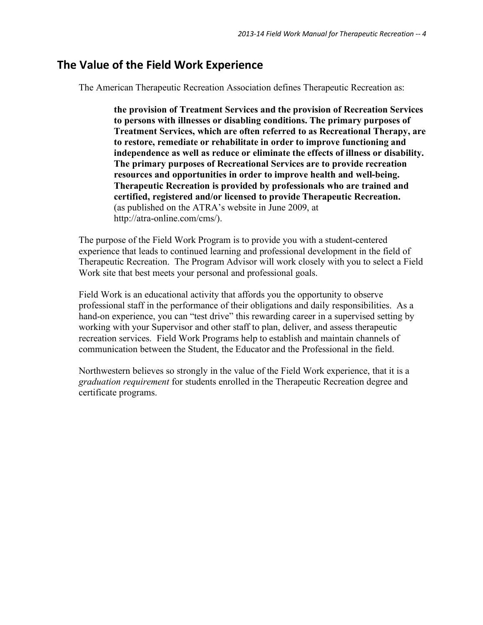## **The Value of the Field Work Experience**

The American Therapeutic Recreation Association defines Therapeutic Recreation as:

**the provision of Treatment Services and the provision of Recreation Services to persons with illnesses or disabling conditions. The primary purposes of Treatment Services, which are often referred to as Recreational Therapy, are to restore, remediate or rehabilitate in order to improve functioning and independence as well as reduce or eliminate the effects of illness or disability. The primary purposes of Recreational Services are to provide recreation resources and opportunities in order to improve health and well-being. Therapeutic Recreation is provided by professionals who are trained and certified, registered and/or licensed to provide Therapeutic Recreation.** (as published on the ATRA's website in June 2009, at http://atra-online.com/cms/).

The purpose of the Field Work Program is to provide you with a student-centered experience that leads to continued learning and professional development in the field of Therapeutic Recreation. The Program Advisor will work closely with you to select a Field Work site that best meets your personal and professional goals.

Field Work is an educational activity that affords you the opportunity to observe professional staff in the performance of their obligations and daily responsibilities. As a hand-on experience, you can "test drive" this rewarding career in a supervised setting by working with your Supervisor and other staff to plan, deliver, and assess therapeutic recreation services. Field Work Programs help to establish and maintain channels of communication between the Student, the Educator and the Professional in the field.

Northwestern believes so strongly in the value of the Field Work experience, that it is a *graduation requirement* for students enrolled in the Therapeutic Recreation degree and certificate programs.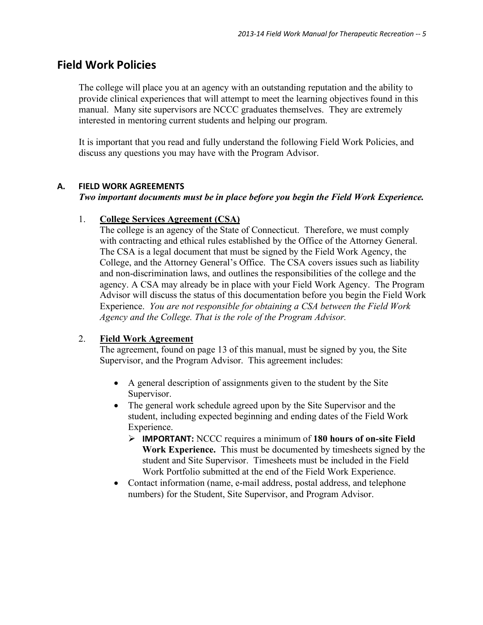## **Field Work Policies**

The college will place you at an agency with an outstanding reputation and the ability to provide clinical experiences that will attempt to meet the learning objectives found in this manual. Many site supervisors are NCCC graduates themselves. They are extremely interested in mentoring current students and helping our program.

It is important that you read and fully understand the following Field Work Policies, and discuss any questions you may have with the Program Advisor.

#### **A. FIELD WORK AGREEMENTS**

*Two important documents must be in place before you begin the Field Work Experience.*

#### 1. **College Services Agreement (CSA)**

The college is an agency of the State of Connecticut. Therefore, we must comply with contracting and ethical rules established by the Office of the Attorney General. The CSA is a legal document that must be signed by the Field Work Agency, the College, and the Attorney General's Office. The CSA covers issues such as liability and non-discrimination laws, and outlines the responsibilities of the college and the agency. A CSA may already be in place with your Field Work Agency. The Program Advisor will discuss the status of this documentation before you begin the Field Work Experience. *You are not responsible for obtaining a CSA between the Field Work Agency and the College. That is the role of the Program Advisor.*

#### 2. **Field Work Agreement**

The agreement, found on page 13 of this manual, must be signed by you, the Site Supervisor, and the Program Advisor. This agreement includes:

- A general description of assignments given to the student by the Site Supervisor.
- The general work schedule agreed upon by the Site Supervisor and the student, including expected beginning and ending dates of the Field Work Experience.
	- Ø **IMPORTANT:** NCCC requires a minimum of **180 hours of on-site Field Work Experience.** This must be documented by timesheets signed by the student and Site Supervisor. Timesheets must be included in the Field Work Portfolio submitted at the end of the Field Work Experience.
- Contact information (name, e-mail address, postal address, and telephone numbers) for the Student, Site Supervisor, and Program Advisor.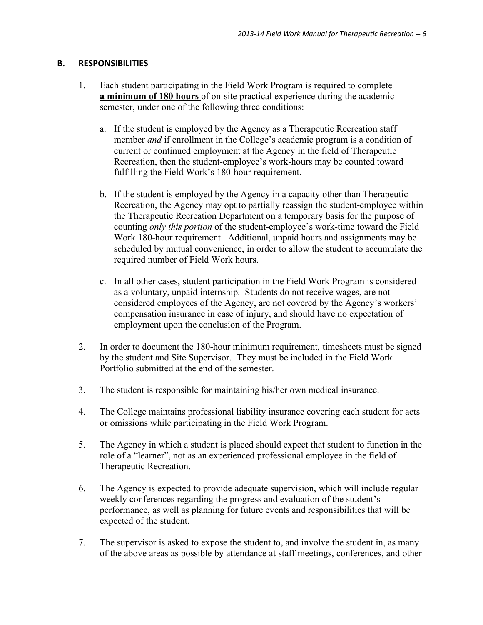#### **B. RESPONSIBILITIES**

- 1. Each student participating in the Field Work Program is required to complete **a minimum of 180 hours** of on-site practical experience during the academic semester, under one of the following three conditions:
	- a. If the student is employed by the Agency as a Therapeutic Recreation staff member *and* if enrollment in the College's academic program is a condition of current or continued employment at the Agency in the field of Therapeutic Recreation, then the student-employee's work-hours may be counted toward fulfilling the Field Work's 180-hour requirement.
	- b. If the student is employed by the Agency in a capacity other than Therapeutic Recreation, the Agency may opt to partially reassign the student-employee within the Therapeutic Recreation Department on a temporary basis for the purpose of counting *only this portion* of the student-employee's work-time toward the Field Work 180-hour requirement. Additional, unpaid hours and assignments may be scheduled by mutual convenience, in order to allow the student to accumulate the required number of Field Work hours.
	- c. In all other cases, student participation in the Field Work Program is considered as a voluntary, unpaid internship. Students do not receive wages, are not considered employees of the Agency, are not covered by the Agency's workers' compensation insurance in case of injury, and should have no expectation of employment upon the conclusion of the Program.
- 2. In order to document the 180-hour minimum requirement, timesheets must be signed by the student and Site Supervisor. They must be included in the Field Work Portfolio submitted at the end of the semester.
- 3. The student is responsible for maintaining his/her own medical insurance.
- 4. The College maintains professional liability insurance covering each student for acts or omissions while participating in the Field Work Program.
- 5. The Agency in which a student is placed should expect that student to function in the role of a "learner", not as an experienced professional employee in the field of Therapeutic Recreation.
- 6. The Agency is expected to provide adequate supervision, which will include regular weekly conferences regarding the progress and evaluation of the student's performance, as well as planning for future events and responsibilities that will be expected of the student.
- 7. The supervisor is asked to expose the student to, and involve the student in, as many of the above areas as possible by attendance at staff meetings, conferences, and other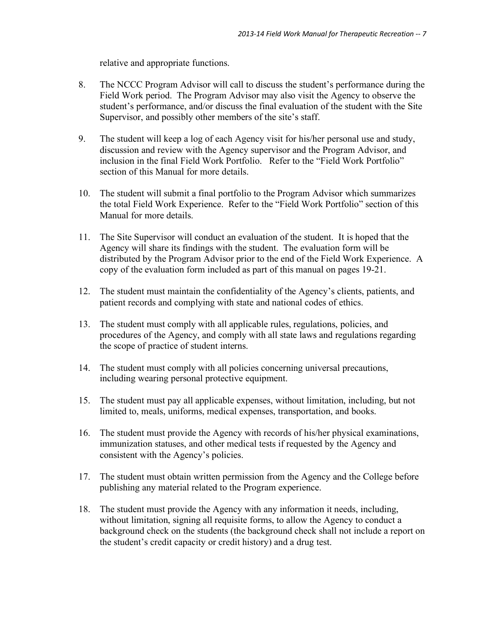relative and appropriate functions.

- 8. The NCCC Program Advisor will call to discuss the student's performance during the Field Work period. The Program Advisor may also visit the Agency to observe the student's performance, and/or discuss the final evaluation of the student with the Site Supervisor, and possibly other members of the site's staff.
- 9. The student will keep a log of each Agency visit for his/her personal use and study, discussion and review with the Agency supervisor and the Program Advisor, and inclusion in the final Field Work Portfolio. Refer to the "Field Work Portfolio" section of this Manual for more details.
- 10. The student will submit a final portfolio to the Program Advisor which summarizes the total Field Work Experience. Refer to the "Field Work Portfolio" section of this Manual for more details.
- 11. The Site Supervisor will conduct an evaluation of the student. It is hoped that the Agency will share its findings with the student. The evaluation form will be distributed by the Program Advisor prior to the end of the Field Work Experience. A copy of the evaluation form included as part of this manual on pages 19-21.
- 12. The student must maintain the confidentiality of the Agency's clients, patients, and patient records and complying with state and national codes of ethics.
- 13. The student must comply with all applicable rules, regulations, policies, and procedures of the Agency, and comply with all state laws and regulations regarding the scope of practice of student interns.
- 14. The student must comply with all policies concerning universal precautions, including wearing personal protective equipment.
- 15. The student must pay all applicable expenses, without limitation, including, but not limited to, meals, uniforms, medical expenses, transportation, and books.
- 16. The student must provide the Agency with records of his/her physical examinations, immunization statuses, and other medical tests if requested by the Agency and consistent with the Agency's policies.
- 17. The student must obtain written permission from the Agency and the College before publishing any material related to the Program experience.
- 18. The student must provide the Agency with any information it needs, including, without limitation, signing all requisite forms, to allow the Agency to conduct a background check on the students (the background check shall not include a report on the student's credit capacity or credit history) and a drug test.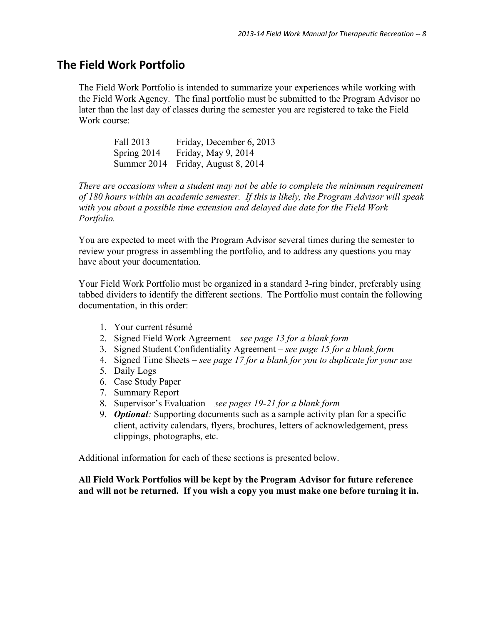## **The Field Work Portfolio**

The Field Work Portfolio is intended to summarize your experiences while working with the Field Work Agency. The final portfolio must be submitted to the Program Advisor no later than the last day of classes during the semester you are registered to take the Field Work course:

Fall 2013 Friday, December 6, 2013 Spring 2014 Friday, May 9, 2014 Summer 2014 Friday, August 8, 2014

*There are occasions when a student may not be able to complete the minimum requirement of 180 hours within an academic semester. If this is likely, the Program Advisor will speak with you about a possible time extension and delayed due date for the Field Work Portfolio.* 

You are expected to meet with the Program Advisor several times during the semester to review your progress in assembling the portfolio, and to address any questions you may have about your documentation.

Your Field Work Portfolio must be organized in a standard 3-ring binder, preferably using tabbed dividers to identify the different sections. The Portfolio must contain the following documentation, in this order:

- 1. Your current résumé
- 2. Signed Field Work Agreement *see page 13 for a blank form*
- 3. Signed Student Confidentiality Agreement *see page 15 for a blank form*
- 4. Signed Time Sheets *see page 17 for a blank for you to duplicate for your use*
- 5. Daily Logs
- 6. Case Study Paper
- 7. Summary Report
- 8. Supervisor's Evaluation *see pages 19-21 for a blank form*
- 9. *Optional:* Supporting documents such as a sample activity plan for a specific client, activity calendars, flyers, brochures, letters of acknowledgement, press clippings, photographs, etc.

Additional information for each of these sections is presented below.

#### **All Field Work Portfolios will be kept by the Program Advisor for future reference and will not be returned. If you wish a copy you must make one before turning it in.**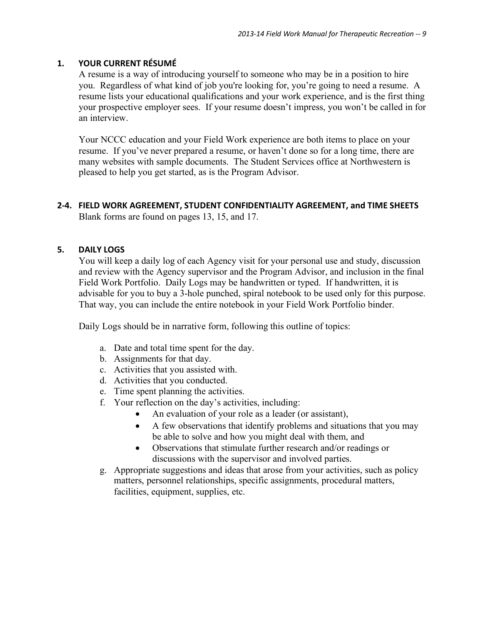#### **1. YOUR CURRENT RÉSUMÉ**

A resume is a way of introducing yourself to someone who may be in a position to hire you. Regardless of what kind of job you're looking for, you're going to need a resume. A resume lists your educational qualifications and your work experience, and is the first thing your prospective employer sees. If your resume doesn't impress, you won't be called in for an interview.

Your NCCC education and your Field Work experience are both items to place on your resume. If you've never prepared a resume, or haven't done so for a long time, there are many websites with sample documents. The Student Services office at Northwestern is pleased to help you get started, as is the Program Advisor.

#### **2-4. FIELD WORK AGREEMENT, STUDENT CONFIDENTIALITY AGREEMENT, and TIME SHEETS** Blank forms are found on pages 13, 15, and 17.

#### **5. DAILY LOGS**

You will keep a daily log of each Agency visit for your personal use and study, discussion and review with the Agency supervisor and the Program Advisor, and inclusion in the final Field Work Portfolio. Daily Logs may be handwritten or typed. If handwritten, it is advisable for you to buy a 3-hole punched, spiral notebook to be used only for this purpose. That way, you can include the entire notebook in your Field Work Portfolio binder.

Daily Logs should be in narrative form, following this outline of topics:

- a. Date and total time spent for the day.
- b. Assignments for that day.
- c. Activities that you assisted with.
- d. Activities that you conducted.
- e. Time spent planning the activities.
- f. Your reflection on the day's activities, including:
	- An evaluation of your role as a leader (or assistant),
	- A few observations that identify problems and situations that you may be able to solve and how you might deal with them, and
	- Observations that stimulate further research and/or readings or discussions with the supervisor and involved parties.
- g. Appropriate suggestions and ideas that arose from your activities, such as policy matters, personnel relationships, specific assignments, procedural matters, facilities, equipment, supplies, etc.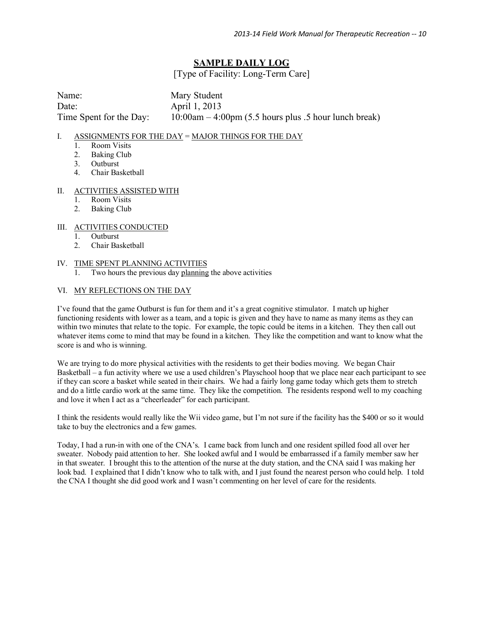#### **SAMPLE DAILY LOG**

[Type of Facility: Long-Term Care]

Name: Mary Student Date: April 1, 2013 Time Spent for the Day: 10:00am – 4:00pm (5.5 hours plus .5 hour lunch break)

#### I. ASSIGNMENTS FOR THE DAY = MAJOR THINGS FOR THE DAY

- 1. Room Visits
- 2. Baking Club
- 3. Outburst
- 4. Chair Basketball

#### II. ACTIVITIES ASSISTED WITH

- 1. Room Visits
- 2. Baking Club

#### III. ACTIVITIES CONDUCTED

- 1. Outburst
- 2. Chair Basketball

#### IV. TIME SPENT PLANNING ACTIVITIES

1. Two hours the previous day planning the above activities

#### VI. MY REFLECTIONS ON THE DAY

I've found that the game Outburst is fun for them and it's a great cognitive stimulator. I match up higher functioning residents with lower as a team, and a topic is given and they have to name as many items as they can within two minutes that relate to the topic. For example, the topic could be items in a kitchen. They then call out whatever items come to mind that may be found in a kitchen. They like the competition and want to know what the score is and who is winning.

We are trying to do more physical activities with the residents to get their bodies moving. We began Chair Basketball – a fun activity where we use a used children's Playschool hoop that we place near each participant to see if they can score a basket while seated in their chairs. We had a fairly long game today which gets them to stretch and do a little cardio work at the same time. They like the competition. The residents respond well to my coaching and love it when I act as a "cheerleader" for each participant.

I think the residents would really like the Wii video game, but I'm not sure if the facility has the \$400 or so it would take to buy the electronics and a few games.

Today, I had a run-in with one of the CNA's. I came back from lunch and one resident spilled food all over her sweater. Nobody paid attention to her. She looked awful and I would be embarrassed if a family member saw her in that sweater. I brought this to the attention of the nurse at the duty station, and the CNA said I was making her look bad. I explained that I didn't know who to talk with, and I just found the nearest person who could help. I told the CNA I thought she did good work and I wasn't commenting on her level of care for the residents.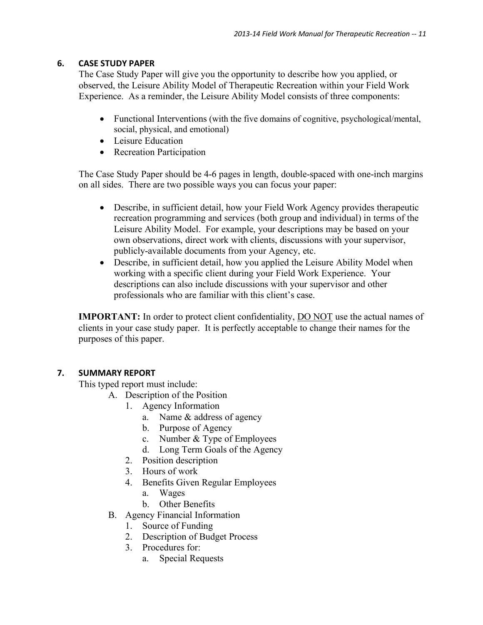#### **6. CASE STUDY PAPER**

The Case Study Paper will give you the opportunity to describe how you applied, or observed, the Leisure Ability Model of Therapeutic Recreation within your Field Work Experience. As a reminder, the Leisure Ability Model consists of three components:

- Functional Interventions (with the five domains of cognitive, psychological/mental, social, physical, and emotional)
- Leisure Education
- Recreation Participation

The Case Study Paper should be 4-6 pages in length, double-spaced with one-inch margins on all sides. There are two possible ways you can focus your paper:

- Describe, in sufficient detail, how your Field Work Agency provides therapeutic recreation programming and services (both group and individual) in terms of the Leisure Ability Model. For example, your descriptions may be based on your own observations, direct work with clients, discussions with your supervisor, publicly-available documents from your Agency, etc.
- Describe, in sufficient detail, how you applied the Leisure Ability Model when working with a specific client during your Field Work Experience. Your descriptions can also include discussions with your supervisor and other professionals who are familiar with this client's case.

**IMPORTANT:** In order to protect client confidentiality, DO NOT use the actual names of clients in your case study paper. It is perfectly acceptable to change their names for the purposes of this paper.

#### **7. SUMMARY REPORT**

This typed report must include:

- A. Description of the Position
	- 1. Agency Information
		- a. Name & address of agency
		- b. Purpose of Agency
		- c. Number & Type of Employees
		- d. Long Term Goals of the Agency
	- 2. Position description
	- 3. Hours of work
	- 4. Benefits Given Regular Employees
		- a. Wages
		- b. Other Benefits
- B. Agency Financial Information
	- 1. Source of Funding
	- 2. Description of Budget Process
	- 3. Procedures for:
		- a. Special Requests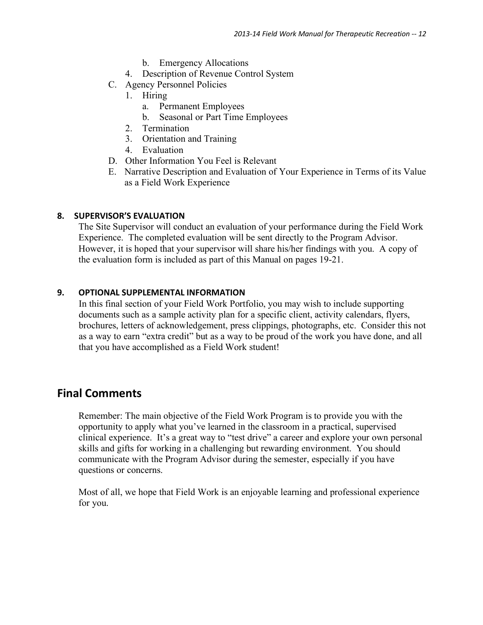- b. Emergency Allocations
- 4. Description of Revenue Control System
- C. Agency Personnel Policies
	- 1. Hiring
		- a. Permanent Employees
		- b. Seasonal or Part Time Employees
	- 2. Termination
	- 3. Orientation and Training
	- 4. Evaluation
- D. Other Information You Feel is Relevant
- E. Narrative Description and Evaluation of Your Experience in Terms of its Value as a Field Work Experience

#### **8. SUPERVISOR'S EVALUATION**

The Site Supervisor will conduct an evaluation of your performance during the Field Work Experience. The completed evaluation will be sent directly to the Program Advisor. However, it is hoped that your supervisor will share his/her findings with you. A copy of the evaluation form is included as part of this Manual on pages 19-21.

#### **9. OPTIONAL SUPPLEMENTAL INFORMATION**

In this final section of your Field Work Portfolio, you may wish to include supporting documents such as a sample activity plan for a specific client, activity calendars, flyers, brochures, letters of acknowledgement, press clippings, photographs, etc. Consider this not as a way to earn "extra credit" but as a way to be proud of the work you have done, and all that you have accomplished as a Field Work student!

### **Final Comments**

Remember: The main objective of the Field Work Program is to provide you with the opportunity to apply what you've learned in the classroom in a practical, supervised clinical experience. It's a great way to "test drive" a career and explore your own personal skills and gifts for working in a challenging but rewarding environment. You should communicate with the Program Advisor during the semester, especially if you have questions or concerns.

Most of all, we hope that Field Work is an enjoyable learning and professional experience for you.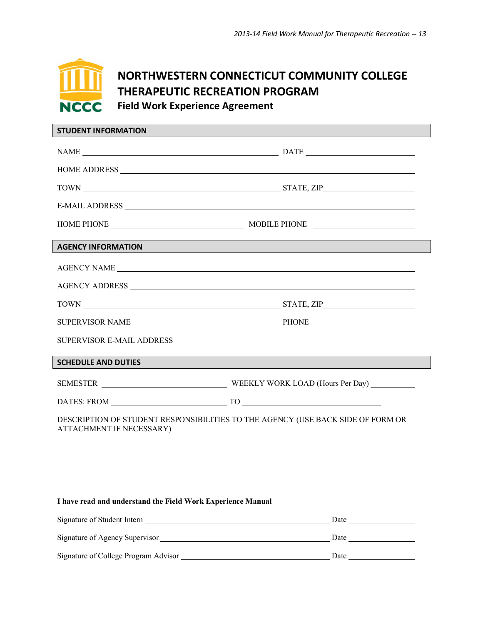$\overline{\phantom{a}}$ 



## **NORTHWESTERN CONNECTICUT COMMUNITY COLLEGE THERAPEUTIC RECREATION PROGRAM**

**NCCC** Field Work Experience Agreement

| <b>STUDENT INFORMATION</b> |                                                                                                                                                                                                                                |
|----------------------------|--------------------------------------------------------------------------------------------------------------------------------------------------------------------------------------------------------------------------------|
|                            | $\begin{tabular}{c} \bf{NAME} \end{tabular}$ NAME                                                                                                                                                                              |
|                            | HOME ADDRESS NARROW CONTROL CONTROL CONTROL CONTROL CONTROL CONTROL CONTROL CONTROL CONTROL CONTROL CONTROL CONTROL CONTROL CONTROL CONTROL CONTROL CONTROL CONTROL CONTROL CONTROL CONTROL CONTROL CONTROL CONTROL CONTROL CO |
|                            |                                                                                                                                                                                                                                |
|                            |                                                                                                                                                                                                                                |
|                            |                                                                                                                                                                                                                                |
| <b>AGENCY INFORMATION</b>  |                                                                                                                                                                                                                                |
|                            | AGENCY NAME                                                                                                                                                                                                                    |
|                            | AGENCY ADDRESS NATIONAL CONTRACT CONTRACT AND A CONTRACT A SERIES OF A SERIES OF A SERIES OF A SERIES OF A SERIES OF A SERIES OF A SERIES OF A SERIES OF A SERIES OF A SERIES OF A SERIES OF A SERIES OF A SERIES OF A SERIES  |
|                            |                                                                                                                                                                                                                                |
|                            | SUPERVISOR NAME PHONE                                                                                                                                                                                                          |
|                            |                                                                                                                                                                                                                                |
| <b>SCHEDULE AND DUTIES</b> | <b>STATE OF STATE OF STATE OF STATE OF STATE OF STATE OF STATE OF STATE OF STATE OF STATE OF STATE OF STATE OF S</b>                                                                                                           |
|                            |                                                                                                                                                                                                                                |
|                            |                                                                                                                                                                                                                                |
| ATTACHMENT IF NECESSARY)   | DESCRIPTION OF STUDENT RESPONSIBILITIES TO THE AGENCY (USE BACK SIDE OF FORM OR                                                                                                                                                |

#### **I have read and understand the Field Work Experience Manual**

| Signature of Student Intern          | Date |
|--------------------------------------|------|
| Signature of Agency Supervisor       | Date |
| Signature of College Program Advisor | Date |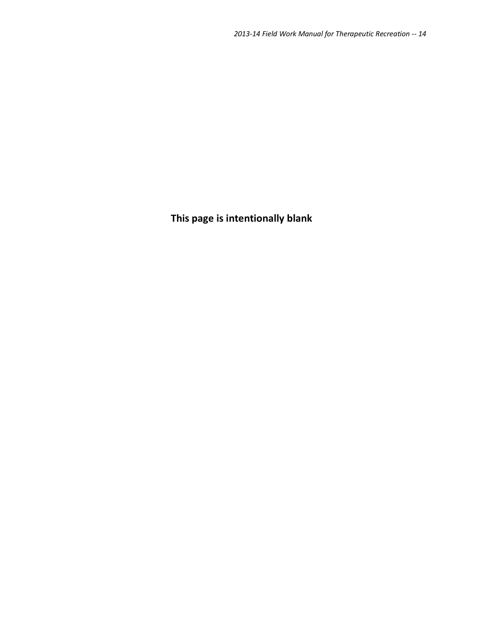**This page is intentionally blank**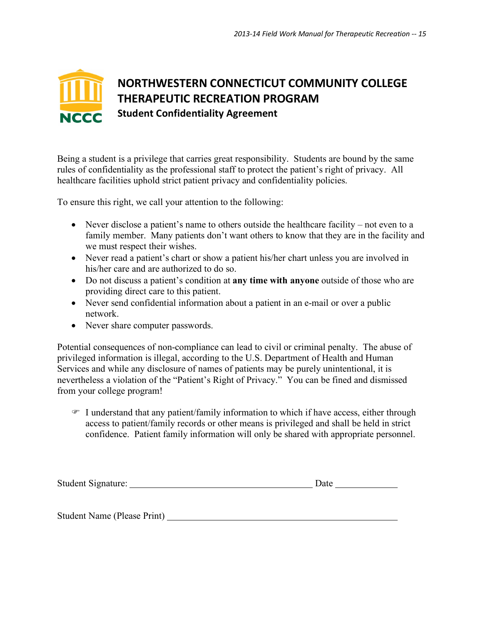## **NORTHWESTERN CONNECTICUT COMMUNITY COLLEGE THERAPEUTIC RECREATION PROGRAM Student Confidentiality Agreement NCCC**

Being a student is a privilege that carries great responsibility. Students are bound by the same rules of confidentiality as the professional staff to protect the patient's right of privacy. All healthcare facilities uphold strict patient privacy and confidentiality policies.

To ensure this right, we call your attention to the following:

- Never disclose a patient's name to others outside the healthcare facility not even to a family member. Many patients don't want others to know that they are in the facility and we must respect their wishes.
- Never read a patient's chart or show a patient his/her chart unless you are involved in his/her care and are authorized to do so.
- Do not discuss a patient's condition at **any time with anyone** outside of those who are providing direct care to this patient.
- Never send confidential information about a patient in an e-mail or over a public network.
- Never share computer passwords.

Potential consequences of non-compliance can lead to civil or criminal penalty. The abuse of privileged information is illegal, according to the U.S. Department of Health and Human Services and while any disclosure of names of patients may be purely unintentional, it is nevertheless a violation of the "Patient's Right of Privacy." You can be fined and dismissed from your college program!

F I understand that any patient/family information to which if have access, either through access to patient/family records or other means is privileged and shall be held in strict confidence. Patient family information will only be shared with appropriate personnel.

| Student Signature: | Date |
|--------------------|------|
|                    |      |

Student Name (Please Print)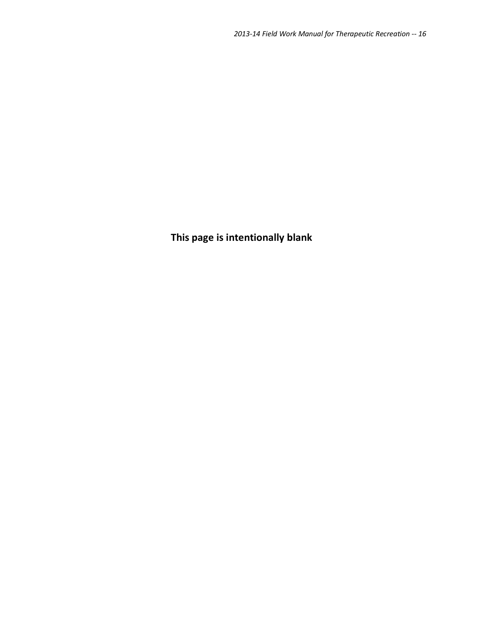**This page is intentionally blank**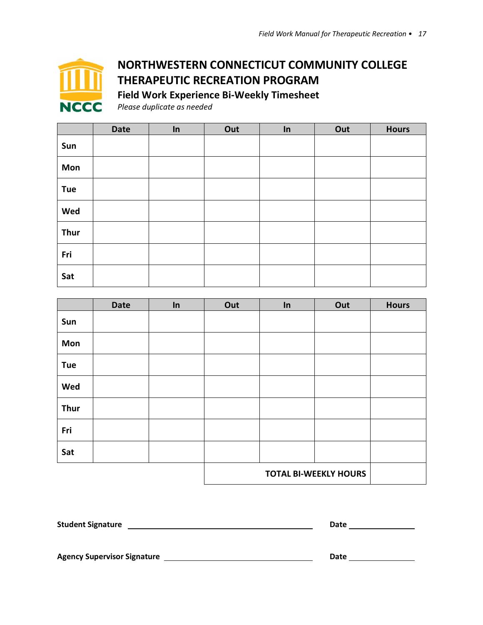

## **NORTHWESTERN CONNECTICUT COMMUNITY COLLEGE THERAPEUTIC RECREATION PROGRAM Field Work Experience Bi-Weekly Timesheet**

*Please duplicate as needed*

|             | <b>Date</b> | In | Out | In | Out | <b>Hours</b> |
|-------------|-------------|----|-----|----|-----|--------------|
| Sun         |             |    |     |    |     |              |
| Mon         |             |    |     |    |     |              |
| Tue         |             |    |     |    |     |              |
| Wed         |             |    |     |    |     |              |
| <b>Thur</b> |             |    |     |    |     |              |
| Fri         |             |    |     |    |     |              |
| Sat         |             |    |     |    |     |              |

|             | <b>Date</b> | $\ln$ | Out                          | In | Out | <b>Hours</b> |
|-------------|-------------|-------|------------------------------|----|-----|--------------|
| Sun         |             |       |                              |    |     |              |
| Mon         |             |       |                              |    |     |              |
| <b>Tue</b>  |             |       |                              |    |     |              |
| Wed         |             |       |                              |    |     |              |
| <b>Thur</b> |             |       |                              |    |     |              |
| Fri         |             |       |                              |    |     |              |
| Sat         |             |       |                              |    |     |              |
|             |             |       | <b>TOTAL BI-WEEKLY HOURS</b> |    |     |              |

| <b>Student Signature</b> | Date |  |  |
|--------------------------|------|--|--|
|                          |      |  |  |
|                          |      |  |  |

Agency Supervisor Signature **Date 2018** and 2018 **Date Date Date Date Date Date Date Date Date Date Date Date Date Date Date Date Date Date Date Date Date Date Date Date Date**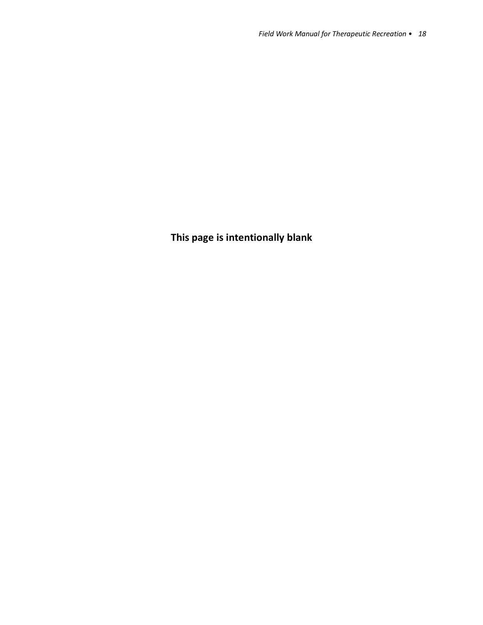**This page is intentionally blank**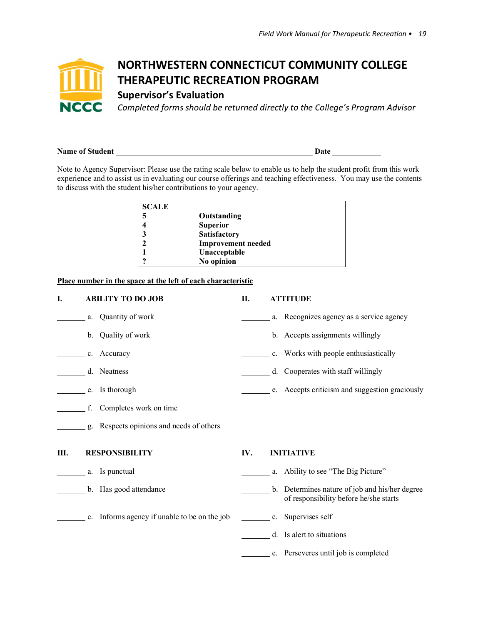

**Name of Student Date 2018 Contract Date 2018 Contract Date 2018 Contract Date 2018 Contract Date 2018 Contract Date 2018 Contract Date 2018 Contract Date 2018 Contract Date 2018 Contract Date 2018 Contract Date 2018 Contr** 

Note to Agency Supervisor: Please use the rating scale below to enable us to help the student profit from this work experience and to assist us in evaluating our course offerings and teaching effectiveness. You may use the contents to discuss with the student his/her contributions to your agency.

| <b>SCALE</b> |                           |
|--------------|---------------------------|
| 5            | Outstanding               |
|              | <b>Superior</b>           |
| -3           | <b>Satisfactory</b>       |
|              | <b>Improvement needed</b> |
|              | Unacceptable              |
| 9            | No opinion                |

#### **Place number in the space at the left of each characteristic**

| I. | <b>ABILITY TO DO JOB</b>                            | П.  | <b>ATTITUDE</b>                                                                          |
|----|-----------------------------------------------------|-----|------------------------------------------------------------------------------------------|
|    | a. Quantity of work                                 |     | a. Recognizes agency as a service agency                                                 |
|    | b. Quality of work                                  |     | b. Accepts assignments willingly                                                         |
|    | c. Accuracy                                         |     | c. Works with people enthusiastically                                                    |
|    | d. Neatness                                         |     | d. Cooperates with staff willingly                                                       |
|    | $\qquad$ e. Is thorough                             |     | e. Accepts criticism and suggestion graciously                                           |
|    | Completes work on time<br>$f_{\cdot}$               |     |                                                                                          |
|    | Respects opinions and needs of others<br><b>g</b> . |     |                                                                                          |
| Ш. | <b>RESPONSIBILITY</b>                               | IV. | <b>INITIATIVE</b>                                                                        |
|    | a. Is punctual                                      |     | a. Ability to see "The Big Picture"                                                      |
|    | b. Has good attendance                              |     | b. Determines nature of job and his/her degree<br>of responsibility before he/she starts |
|    | c. Informs agency if unable to be on the job        |     | c. Supervises self                                                                       |
|    |                                                     |     | d. Is alert to situations                                                                |
|    |                                                     |     | e. Perseveres until job is completed                                                     |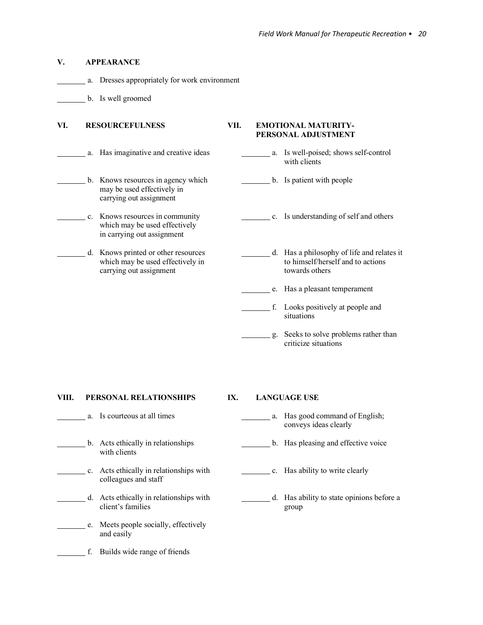#### **V. APPEARANCE**

- a. Dresses appropriately for work environment
- b. Is well groomed

- 
- may be used effectively in carrying out assignment
- which may be used effectively in carrying out assignment
	- which may be used effectively in to himself/hers<br>carrying out assignment towards others carrying out assignment

#### **VI. RESOURCEFULNESS VII. EMOTIONAL MATURITY-PERSONAL ADJUSTMENT**

a. Has imaginative and creative ideas a. Is well-poised; shows self-control with clients b. Knows resources in agency which **b.** Is patient with people c. Knows resources in community c. Is understanding of self and others d. Knows printed or other resources which may be used effectively in  $\frac{d}{dx}$  d. Has a philosophy of life and relates it to himself/herself and to actions e. Has a pleasant temperament f. Looks positively at people and situations g. Seeks to solve problems rather than criticize situations

#### **VIII. PERSONAL RELATIONSHIPS IX. LANGUAGE USE**

a. Is courteous at all times a. Has good command of English; conveys ideas clearly b. Acts ethically in relationships b. Has pleasing and effective voice with clients c. Acts ethically in relationships with c. Has ability to write clearly colleagues and staff d. Acts ethically in relationships with d. Has ability to state opinions before a client's families group e. Meets people socially, effectively and easily f. Builds wide range of friends